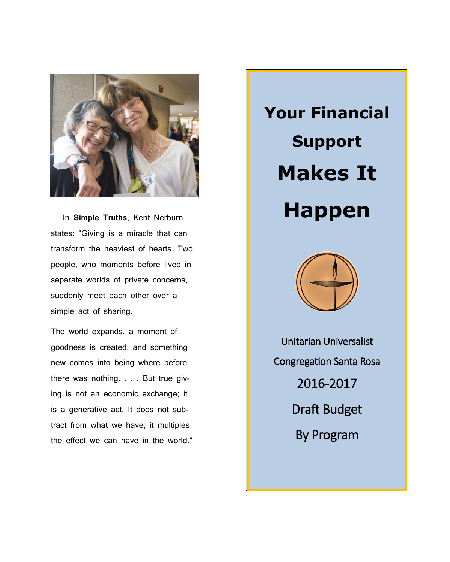

 In **Simple Truths**, Kent Nerburn states: "Giving is a miracle that can transform the heaviest of hearts. Two people, who moments before lived in separate worlds of private concerns, suddenly meet each other over a simple act of sharing.

The world expands, a moment of goodness is created, and something new comes into being where before there was nothing. . . . But true giving is not an economic exchange; it is a generative act. It does not subtract from what we have; it multiples the effect we can have in the world." **Your Financial Support Makes It Happen**



Unitarian Universalist Congregation Santa Rosa 2016-2017 Draft Budget By Program